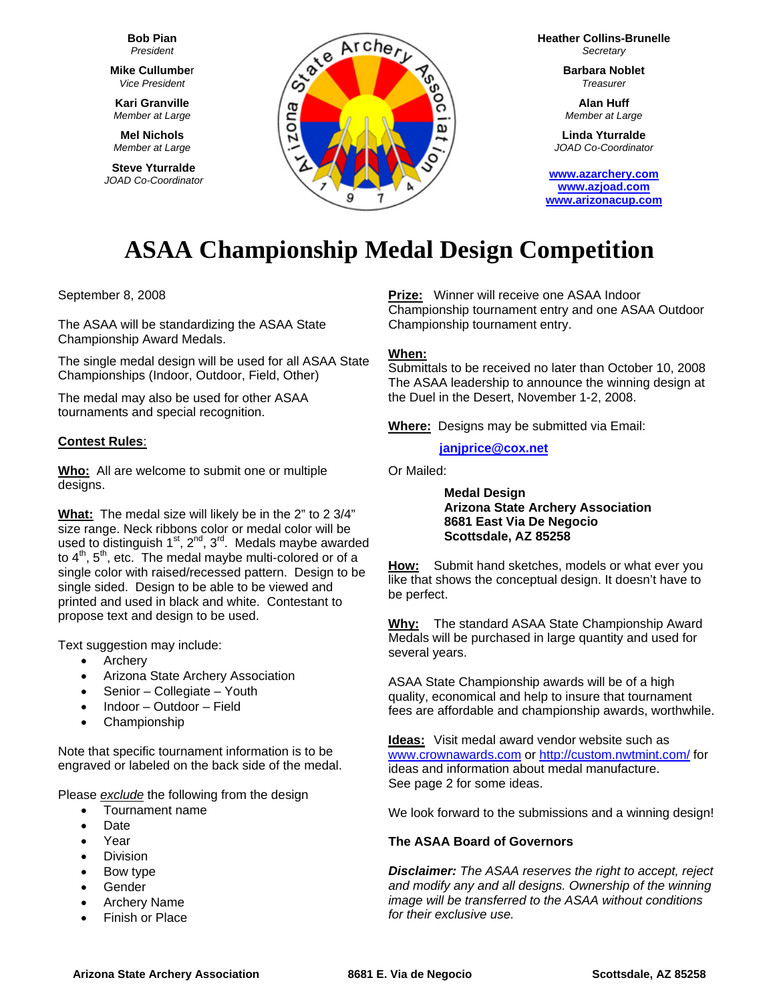**Bob Pian** *President* 

**Mike Cullumbe**r *Vice President* 

**Kari Granville**  *Member at Large*

**Mel Nichols**  *Member at Large*

**Steve Yturralde**  *JOAD Co-Coordinator* 



**Heather Collins-Brunelle** *Secretary* 

> **Barbara Noblet** *Treasurer*

**Alan Huff**  *Member at Large*

**Linda Yturralde**  *JOAD Co-Coordinator* 

**[www.azarchery.com](http://www.azarchery.com/) [www.azjoad.com](http://www.azjoad.com/)  [www.arizonacup.com](http://www.arizonacup.com/)**

# **ASAA Championship Medal Design Competition**

September 8, 2008

The ASAA will be standardizing the ASAA State Championship Award Medals.

The single medal design will be used for all ASAA State Championships (Indoor, Outdoor, Field, Other)

The medal may also be used for other ASAA tournaments and special recognition.

## **Contest Rules**:

**Who:** All are welcome to submit one or multiple designs.

**What:** The medal size will likely be in the 2" to 2 3/4" size range. Neck ribbons color or medal color will be used to distinguish  $1^{st}$ ,  $2^{nd}$ ,  $3^{rd}$ . Medals maybe awarded to  $4<sup>th</sup>$ ,  $5<sup>th</sup>$ , etc. The medal maybe multi-colored or of a single color with raised/recessed pattern. Design to be single sided. Design to be able to be viewed and printed and used in black and white.Contestant to propose text and design to be used.

Text suggestion may include:

- Archery
- Arizona State Archery Association
- Senior Collegiate Youth
- Indoor Outdoor Field
- Championship

Note that specific tournament information is to be engraved or labeled on the back side of the medal.

Please *exclude* the following from the design

- Tournament name
- Date
- Year
- **Division**
- Bow type
- **Gender**
- Archery Name
- **Finish or Place**

**Prize:** Winner will receive one ASAA Indoor Championship tournament entry and one ASAA Outdoor Championship tournament entry.

#### **When:**

Submittals to be received no later than October 10, 2008 The ASAA leadership to announce the winning design at the Duel in the Desert, November 1-2, 2008.

**Where:** Designs may be submitted via Email:

#### **[janjprice@cox.net](mailto:janjprice@cox.net)**

Or Mailed:

**Medal Design Arizona State Archery Association 8681 East Via De Negocio Scottsdale, AZ 85258**

**How:** Submit hand sketches, models or what ever you like that shows the conceptual design. It doesn't have to be perfect.

**Why:** The standard ASAA State Championship Award Medals will be purchased in large quantity and used for several years.

ASAA State Championship awards will be of a high quality, economical and help to insure that tournament fees are affordable and championship awards, worthwhile.

**Ideas:** Visit medal award vendor website such as [www.crownawards.com](http://www.crownawards.com/) or<http://custom.nwtmint.com/> for ideas and information about medal manufacture. See page 2 for some ideas.

We look forward to the submissions and a winning design!

## **The ASAA Board of Governors**

*Disclaimer: The ASAA reserves the right to accept, reject and modify any and all designs. Ownership of the winning image will be transferred to the ASAA without conditions for their exclusive use.*